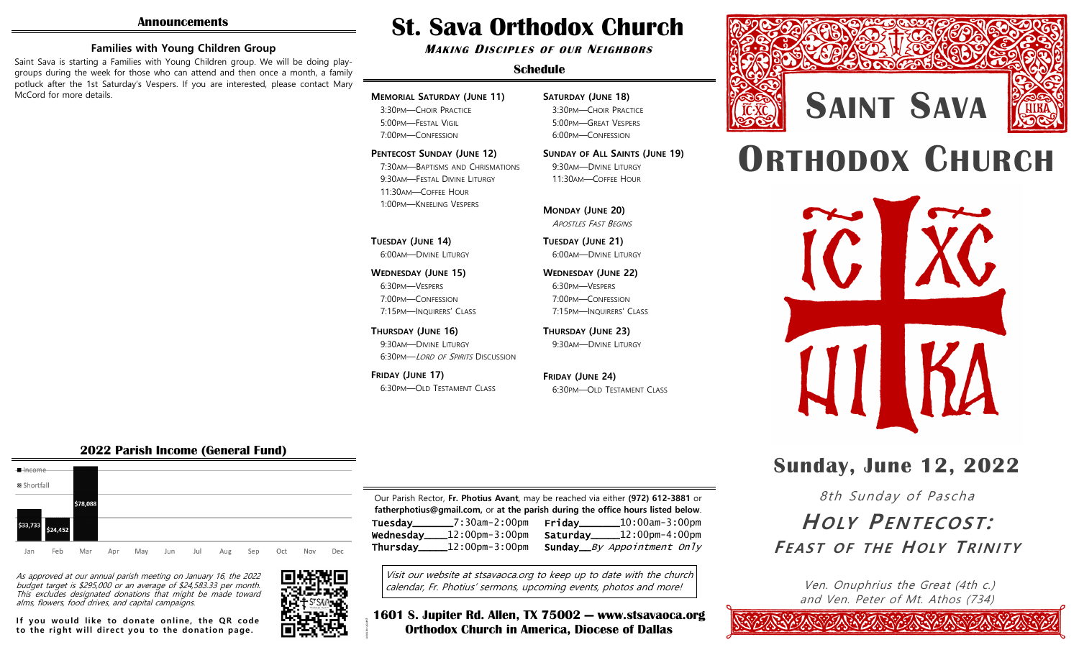#### **Families with Young Children Group**

Saint Sava is starting a Families with Young Children group. We will be doing playgroups during the week for those who can attend and then once a month, a family potluck after the 1st Saturday's Vespers. If you are interested, please contact Mary McCord for more details.

# **St. Sava Orthodox Church**

**MAKING DISCIPLES OF OUR NEIGHBORS**

#### **Schedule**

# **MEMORIAL SATURDAY (JUNE 11)**

3:30PM—CHOIR PRACTICE 5:00PM—FESTAL VIGIL 7:00PM—CONFESSION

**PENTECOST SUNDAY (JUNE 12)**

7:30AM—BAPTISMS AND CHRISMATIONS 9:30AM—FESTAL DIVINE LITURGY 11:30AM—COFFEE HOUR 1:00PM—KNEELING VESPERS

# **TUESDAY (JUNE 14)**

6:00AM—DIVINE LITURGY

**WEDNESDAY (JUNE 15)** 6:30PM—VESPERS 7:00PM—CONFESSION 7:15PM—INQUIRERS' CLASS

**THURSDAY (JUNE 16)** 9:30AM—DIVINE LITURGY 6:30PM—LORD OF SPIRITS DISCUSSION

**FRIDAY (JUNE 17)** 6:30PM—OLD TESTAMENT CLASS

#### **SATURDAY (JUNE 18)** 3:30PM—CHOIR PRACTICE 5:00PM—GREAT VESPERS 6:00PM—CONFESSION

**SUNDAY OF ALL SAINTS (JUNE 19)**

9:30AM—DIVINE LITURGY 11:30AM—COFFEE HOUR

#### **MONDAY (JUNE 20)** APOSTLES FAST BEGINS

**TUESDAY (JUNE 21)** 6:00AM—DIVINE LITURGY

**WEDNESDAY (JUNE 22)** 6:30PM—VESPERS 7:00PM—CONFESSION 7:15PM—INQUIRERS' CLASS

**THURSDAY (JUNE 23)** 9:30AM—DIVINE LITURGY

**FRIDAY (JUNE 24)** 6:30PM—OLD TESTAMENT CLASS

# **ORTHODOX CHURCH**

**SAINT SAVA**



# **Sunday, June 12, 2022**

8th Sunday of Pascha

# $H$ *OIY*  $P$ *ENTECOST*: EBAST OF THE HOLY TRINITY

Ven. Onuphrius the Great (4th c.) and Ven. Peter of Mt. Athos (734)

# **2022 Parish Income (General Fund)**



As approved at our annual parish meeting on January 16, the 2022 budget target is \$295,000 or an average of \$24,583.33 per month. This excludes designated donations that might be made toward alms, flowers, food drives, and capital campaigns.

If you would like to donate online, the QR code to the right will direct you to the donation page.



Our Parish Rector, **Fr. Photius Avant**, may be reached via either **(972) 612-3881** or **fatherphotius@gmail.com,** or **at the parish during the office hours listed below**. Tuesday\_\_\_\_\_\_\_7:30am-2:00pm Wednesday\_\_\_\_12:00pm-3:00pm Thursday\_\_\_\_\_12:00pm-3:00pm Friday\_\_\_\_\_\_\_10:00am-3:00pm Saturday\_\_\_\_\_12:00pm-4:00pm Sunday\_\_By Appointment Only

Visit our website at stsavaoca.org to keep up to date with the church calendar, Fr. Photius' sermons, upcoming events, photos and more!

parish version **1601 S. Jupiter Rd. Allen, TX 75002 — www.stsavaoca.org Orthodox Church in America, Diocese of Dallas**